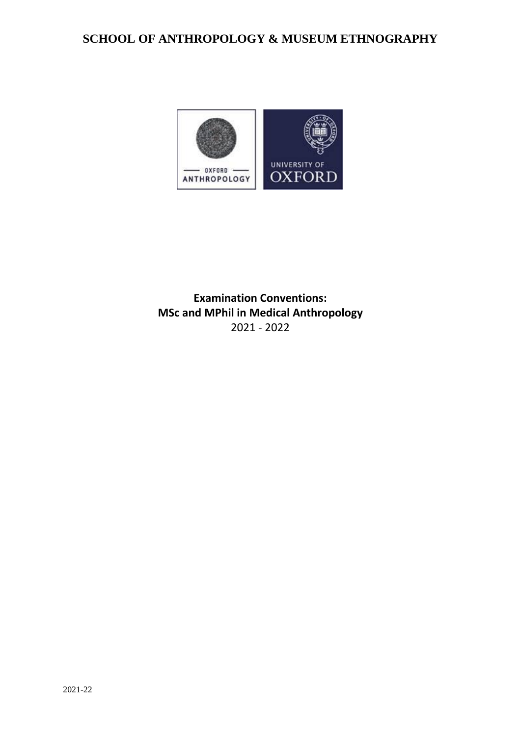# **SCHOOL OF ANTHROPOLOGY & MUSEUM ETHNOGRAPHY**



**Examination Conventions: MSc and MPhil in Medical Anthropology** 2021 - 2022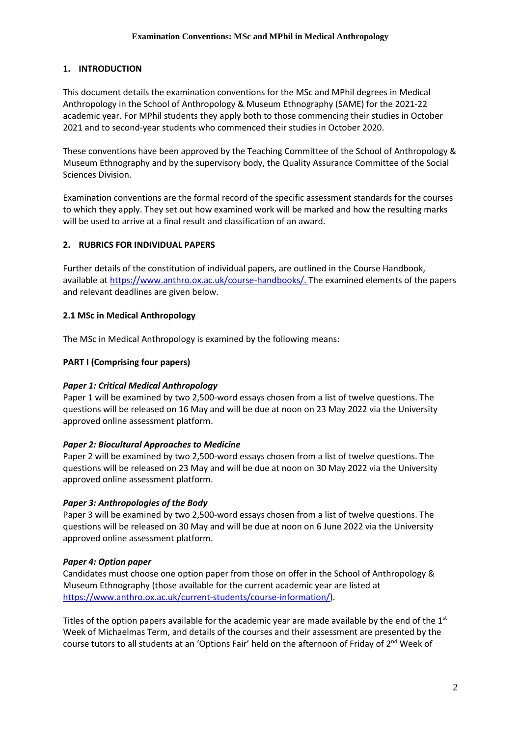### **1. INTRODUCTION**

This document details the examination conventions for the MSc and MPhil degrees in Medical Anthropology in the School of Anthropology & Museum Ethnography (SAME) for the 2021-22 academic year. For MPhil students they apply both to those commencing their studies in October 2021 and to second-year students who commenced their studies in October 2020.

These conventions have been approved by the Teaching Committee of the School of Anthropology & Museum Ethnography and by the supervisory body, the Quality Assurance Committee of the Social Sciences Division.

Examination conventions are the formal record of the specific assessment standards for the courses to which they apply. They set out how examined work will be marked and how the resulting marks will be used to arrive at a final result and classification of an award.

### **2. RUBRICS FOR INDIVIDUAL PAPERS**

Further details of the constitution of individual papers, are outlined in the Course Handbook, available at [https://www.anthro.ox.ac.uk/course-handbooks/.](https://www.anthro.ox.ac.uk/course-handbooks) The examined elements of the papers and relevant deadlines are given below.

### **2.1 MSc in Medical Anthropology**

The MSc in Medical Anthropology is examined by the following means:

### **PART I (Comprising four papers)**

### *Paper 1: Critical Medical Anthropology*

Paper 1 will be examined by two 2,500-word essays chosen from a list of twelve questions. The questions will be released on 16 May and will be due at noon on 23 May 2022 via the University approved online assessment platform.

### *Paper 2: Biocultural Approaches to Medicine*

Paper 2 will be examined by two 2,500-word essays chosen from a list of twelve questions. The questions will be released on 23 May and will be due at noon on 30 May 2022 via the University approved online assessment platform.

### *Paper 3: Anthropologies of the Body*

Paper 3 will be examined by two 2,500-word essays chosen from a list of twelve questions. The questions will be released on 30 May and will be due at noon on 6 June 2022 via the University approved online assessment platform.

### *Paper 4: Option paper*

Candidates must choose one option paper from those on offer in the School of Anthropology & Museum Ethnography (those available for the current academic year are listed at [https://www.anthro.ox.ac.uk/current-students/course-information/\)](https://www.anthro.ox.ac.uk/current-students/course-information/).

Titles of the option papers available for the academic year are made available by the end of the  $1<sup>st</sup>$ Week of Michaelmas Term, and details of the courses and their assessment are presented by the course tutors to all students at an 'Options Fair' held on the afternoon of Friday of 2<sup>nd</sup> Week of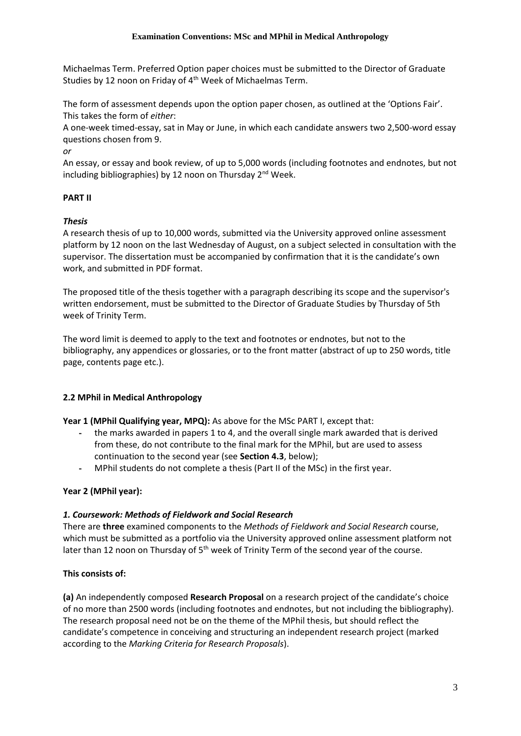Michaelmas Term. Preferred Option paper choices must be submitted to the Director of Graduate Studies by 12 noon on Friday of 4th Week of Michaelmas Term.

The form of assessment depends upon the option paper chosen, as outlined at the 'Options Fair'. This takes the form of *either*:

A one-week timed-essay, sat in May or June, in which each candidate answers two 2,500-word essay questions chosen from 9.

*or*

An essay, or essay and book review, of up to 5,000 words (including footnotes and endnotes, but not including bibliographies) by 12 noon on Thursday 2nd Week.

### **PART II**

### *Thesis*

A research thesis of up to 10,000 words, submitted via the University approved online assessment platform by 12 noon on the last Wednesday of August, on a subject selected in consultation with the supervisor. The dissertation must be accompanied by confirmation that it is the candidate's own work, and submitted in PDF format.

The proposed title of the thesis together with a paragraph describing its scope and the supervisor's written endorsement, must be submitted to the Director of Graduate Studies by Thursday of 5th week of Trinity Term.

The word limit is deemed to apply to the text and footnotes or endnotes, but not to the bibliography, any appendices or glossaries, or to the front matter (abstract of up to 250 words, title page, contents page etc.).

### **2.2 MPhil in Medical Anthropology**

**Year 1 (MPhil Qualifying year, MPQ):** As above for the MSc PART I, except that:

- the marks awarded in papers 1 to 4, and the overall single mark awarded that is derived from these, do not contribute to the final mark for the MPhil, but are used to assess continuation to the second year (see **Section 4.3**, below);
- MPhil students do not complete a thesis (Part II of the MSc) in the first year.

### **Year 2 (MPhil year):**

### *1. Coursework: Methods of Fieldwork and Social Research*

There are **three** examined components to the *Methods of Fieldwork and Social Research* course, which must be submitted as a portfolio via the University approved online assessment platform not later than 12 noon on Thursday of 5<sup>th</sup> week of Trinity Term of the second year of the course.

### **This consists of:**

**(a)** An independently composed **Research Proposal** on a research project of the candidate's choice of no more than 2500 words (including footnotes and endnotes, but not including the bibliography). The research proposal need not be on the theme of the MPhil thesis, but should reflect the candidate's competence in conceiving and structuring an independent research project (marked according to the *Marking Criteria for Research Proposals*).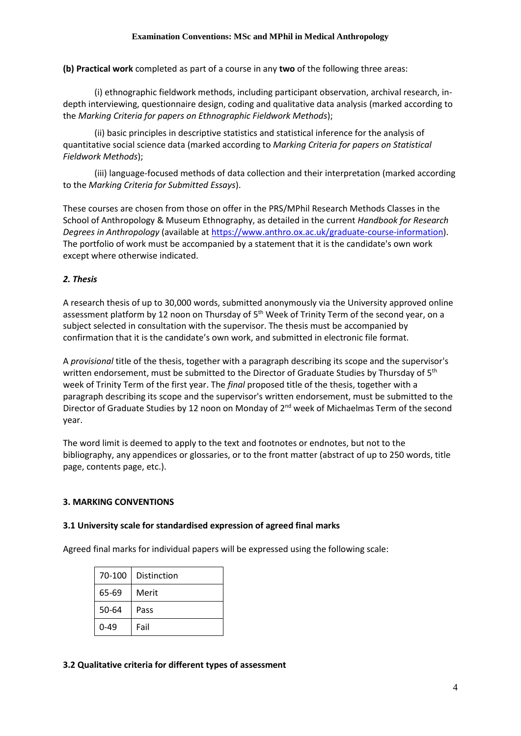**(b) Practical work** completed as part of a course in any **two** of the following three areas:

(i) ethnographic fieldwork methods, including participant observation, archival research, indepth interviewing, questionnaire design, coding and qualitative data analysis (marked according to the *Marking Criteria for papers on Ethnographic Fieldwork Methods*);

(ii) basic principles in descriptive statistics and statistical inference for the analysis of quantitative social science data (marked according to *Marking Criteria for papers on Statistical Fieldwork Methods*);

(iii) language-focused methods of data collection and their interpretation (marked according to the *Marking Criteria for Submitted Essays*).

These courses are chosen from those on offer in the PRS/MPhil Research Methods Classes in the School of Anthropology & Museum Ethnography, as detailed in the current *Handbook for Research Degrees in Anthropology* (available a[t https://www.anthro.ox.ac.uk/graduate-course-information\)](https://www.anthro.ox.ac.uk/graduate-course-information). The portfolio of work must be accompanied by a statement that it is the candidate's own work except where otherwise indicated.

### *2. Thesis*

A research thesis of up to 30,000 words, submitted anonymously via the University approved online assessment platform by 12 noon on Thursday of 5<sup>th</sup> Week of Trinity Term of the second year, on a subject selected in consultation with the supervisor. The thesis must be accompanied by confirmation that it is the candidate's own work, and submitted in electronic file format.

A *provisional* title of the thesis, together with a paragraph describing its scope and the supervisor's written endorsement, must be submitted to the Director of Graduate Studies by Thursday of 5<sup>th</sup> week of Trinity Term of the first year. The *final* proposed title of the thesis, together with a paragraph describing its scope and the supervisor's written endorsement, must be submitted to the Director of Graduate Studies by 12 noon on Monday of 2<sup>nd</sup> week of Michaelmas Term of the second year.

The word limit is deemed to apply to the text and footnotes or endnotes, but not to the bibliography, any appendices or glossaries, or to the front matter (abstract of up to 250 words, title page, contents page, etc.).

### **3. MARKING CONVENTIONS**

#### **3.1 University scale for standardised expression of agreed final marks**

Agreed final marks for individual papers will be expressed using the following scale:

| 70-100 | Distinction |
|--------|-------------|
| 65-69  | Merit       |
| 50-64  | Pass        |
| 0-49   | Fail        |

#### **3.2 Qualitative criteria for different types of assessment**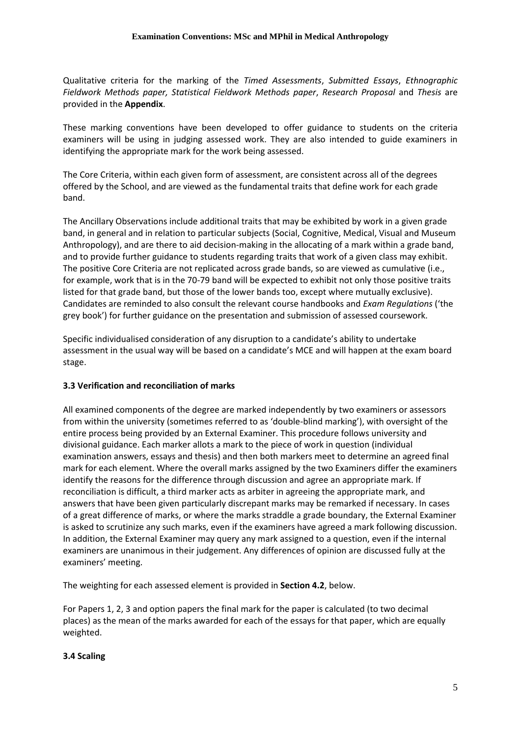Qualitative criteria for the marking of the *Timed Assessments*, *Submitted Essays*, *Ethnographic Fieldwork Methods paper, Statistical Fieldwork Methods paper*, *Research Proposal* and *Thesis* are provided in the **Appendix**.

These marking conventions have been developed to offer guidance to students on the criteria examiners will be using in judging assessed work. They are also intended to guide examiners in identifying the appropriate mark for the work being assessed.

The Core Criteria, within each given form of assessment, are consistent across all of the degrees offered by the School, and are viewed as the fundamental traits that define work for each grade band.

The Ancillary Observations include additional traits that may be exhibited by work in a given grade band, in general and in relation to particular subjects (Social, Cognitive, Medical, Visual and Museum Anthropology), and are there to aid decision-making in the allocating of a mark within a grade band, and to provide further guidance to students regarding traits that work of a given class may exhibit. The positive Core Criteria are not replicated across grade bands, so are viewed as cumulative (i.e., for example, work that is in the 70-79 band will be expected to exhibit not only those positive traits listed for that grade band, but those of the lower bands too, except where mutually exclusive). Candidates are reminded to also consult the relevant course handbooks and *Exam Regulations* ('the grey book') for further guidance on the presentation and submission of assessed coursework.

Specific individualised consideration of any disruption to a candidate's ability to undertake assessment in the usual way will be based on a candidate's MCE and will happen at the exam board stage.

### **3.3 Verification and reconciliation of marks**

All examined components of the degree are marked independently by two examiners or assessors from within the university (sometimes referred to as 'double-blind marking'), with oversight of the entire process being provided by an External Examiner. This procedure follows university and divisional guidance. Each marker allots a mark to the piece of work in question (individual examination answers, essays and thesis) and then both markers meet to determine an agreed final mark for each element. Where the overall marks assigned by the two Examiners differ the examiners identify the reasons for the difference through discussion and agree an appropriate mark. If reconciliation is difficult, a third marker acts as arbiter in agreeing the appropriate mark, and answers that have been given particularly discrepant marks may be remarked if necessary. In cases of a great difference of marks, or where the marks straddle a grade boundary, the External Examiner is asked to scrutinize any such marks, even if the examiners have agreed a mark following discussion. In addition, the External Examiner may query any mark assigned to a question, even if the internal examiners are unanimous in their judgement. Any differences of opinion are discussed fully at the examiners' meeting.

The weighting for each assessed element is provided in **Section 4.2**, below.

For Papers 1, 2, 3 and option papers the final mark for the paper is calculated (to two decimal places) as the mean of the marks awarded for each of the essays for that paper, which are equally weighted.

#### **3.4 Scaling**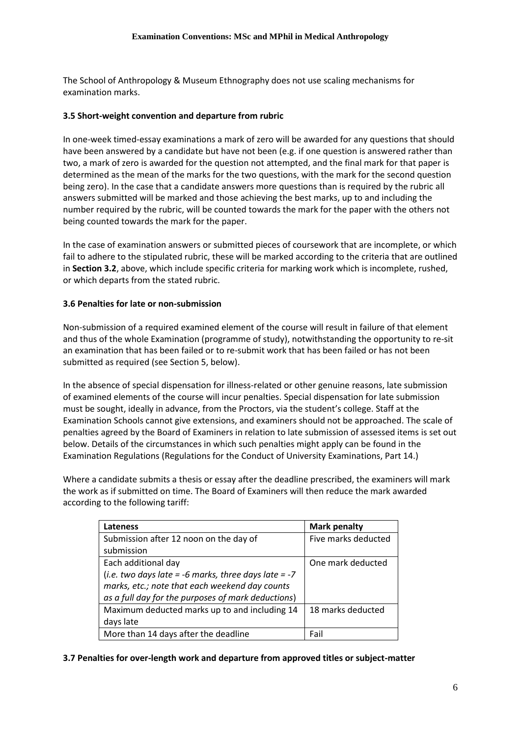The School of Anthropology & Museum Ethnography does not use scaling mechanisms for examination marks.

#### **3.5 Short-weight convention and departure from rubric**

In one-week timed-essay examinations a mark of zero will be awarded for any questions that should have been answered by a candidate but have not been (e.g. if one question is answered rather than two, a mark of zero is awarded for the question not attempted, and the final mark for that paper is determined as the mean of the marks for the two questions, with the mark for the second question being zero). In the case that a candidate answers more questions than is required by the rubric all answers submitted will be marked and those achieving the best marks, up to and including the number required by the rubric, will be counted towards the mark for the paper with the others not being counted towards the mark for the paper.

In the case of examination answers or submitted pieces of coursework that are incomplete, or which fail to adhere to the stipulated rubric, these will be marked according to the criteria that are outlined in **Section 3.2**, above, which include specific criteria for marking work which is incomplete, rushed, or which departs from the stated rubric.

#### **3.6 Penalties for late or non-submission**

Non-submission of a required examined element of the course will result in failure of that element and thus of the whole Examination (programme of study), notwithstanding the opportunity to re-sit an examination that has been failed or to re-submit work that has been failed or has not been submitted as required (see Section 5, below).

In the absence of special dispensation for illness-related or other genuine reasons, late submission of examined elements of the course will incur penalties. Special dispensation for late submission must be sought, ideally in advance, from the Proctors, via the student's college. Staff at the Examination Schools cannot give extensions, and examiners should not be approached. The scale of penalties agreed by the Board of Examiners in relation to late submission of assessed items is set out below. Details of the circumstances in which such penalties might apply can be found in the Examination Regulations (Regulations for the Conduct of University Examinations, Part 14.)

Where a candidate submits a thesis or essay after the deadline prescribed, the examiners will mark the work as if submitted on time. The Board of Examiners will then reduce the mark awarded according to the following tariff:

| <b>Lateness</b>                                      | <b>Mark penalty</b> |
|------------------------------------------------------|---------------------|
| Submission after 12 noon on the day of               | Five marks deducted |
| submission                                           |                     |
| Each additional day                                  | One mark deducted   |
| (i.e. two days late = -6 marks, three days late = -7 |                     |
| marks, etc.; note that each weekend day counts       |                     |
| as a full day for the purposes of mark deductions)   |                     |
| Maximum deducted marks up to and including 14        | 18 marks deducted   |
| days late                                            |                     |
| More than 14 days after the deadline                 | Fail                |

#### **3.7 Penalties for over-length work and departure from approved titles or subject-matter**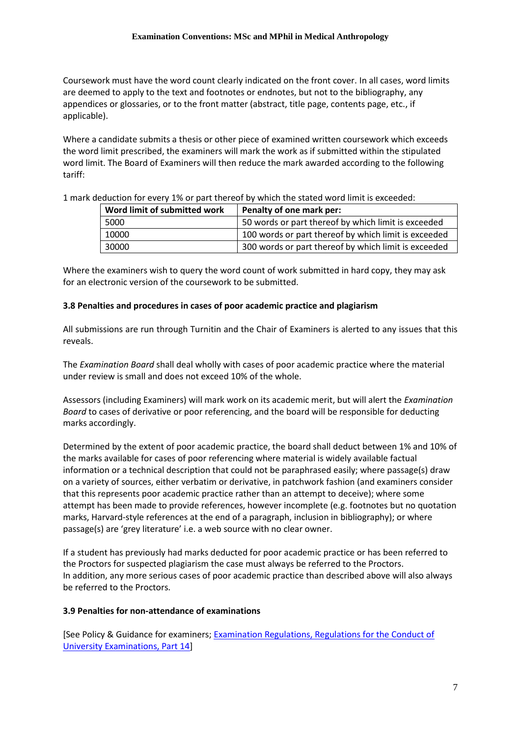Coursework must have the word count clearly indicated on the front cover. In all cases, word limits are deemed to apply to the text and footnotes or endnotes, but not to the bibliography, any appendices or glossaries, or to the front matter (abstract, title page, contents page, etc., if applicable).

Where a candidate submits a thesis or other piece of examined written coursework which exceeds the word limit prescribed, the examiners will mark the work as if submitted within the stipulated word limit. The Board of Examiners will then reduce the mark awarded according to the following tariff:

| Word limit of submitted work | Penalty of one mark per:                             |
|------------------------------|------------------------------------------------------|
| 5000                         | 50 words or part thereof by which limit is exceeded  |
| 10000                        | 100 words or part thereof by which limit is exceeded |
| 30000                        | 300 words or part thereof by which limit is exceeded |

1 mark deduction for every 1% or part thereof by which the stated word limit is exceeded:

Where the examiners wish to query the word count of work submitted in hard copy, they may ask for an electronic version of the coursework to be submitted.

#### **3.8 Penalties and procedures in cases of poor academic practice and plagiarism**

All submissions are run through Turnitin and the Chair of Examiners is alerted to any issues that this reveals.

The *Examination Board* shall deal wholly with cases of poor academic practice where the material under review is small and does not exceed 10% of the whole.

Assessors (including Examiners) will mark work on its academic merit, but will alert the *Examination Board* to cases of derivative or poor referencing, and the board will be responsible for deducting marks accordingly.

Determined by the extent of poor academic practice, the board shall deduct between 1% and 10% of the marks available for cases of poor referencing where material is widely available factual information or a technical description that could not be paraphrased easily; where passage(s) draw on a variety of sources, either verbatim or derivative, in patchwork fashion (and examiners consider that this represents poor academic practice rather than an attempt to deceive); where some attempt has been made to provide references, however incomplete (e.g. footnotes but no quotation marks, Harvard-style references at the end of a paragraph, inclusion in bibliography); or where passage(s) are 'grey literature' i.e. a web source with no clear owner.

If a student has previously had marks deducted for poor academic practice or has been referred to the Proctors for suspected plagiarism the case must always be referred to the Proctors. In addition, any more serious cases of poor academic practice than described above will also always be referred to the Proctors.

#### **3.9 Penalties for non-attendance of examinations**

[See Policy & Guidance for examiners; [Examination Regulations, Regulations for the Conduct of](http://www.admin.ox.ac.uk/examregs/2015-16/rftcoue-p14ls-n-snawfromexam/)  [University Examinations, Part 14\]](http://www.admin.ox.ac.uk/examregs/2015-16/rftcoue-p14ls-n-snawfromexam/)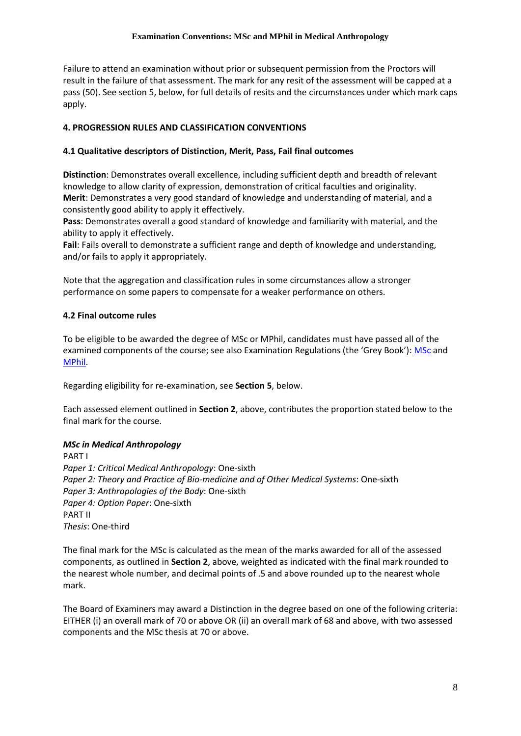Failure to attend an examination without prior or subsequent permission from the Proctors will result in the failure of that assessment. The mark for any resit of the assessment will be capped at a pass (50). See section 5, below, for full details of resits and the circumstances under which mark caps apply.

### **4. PROGRESSION RULES AND CLASSIFICATION CONVENTIONS**

### **4.1 Qualitative descriptors of Distinction, Merit, Pass, Fail final outcomes**

**Distinction**: Demonstrates overall excellence, including sufficient depth and breadth of relevant knowledge to allow clarity of expression, demonstration of critical faculties and originality. **Merit**: Demonstrates a very good standard of knowledge and understanding of material, and a consistently good ability to apply it effectively.

**Pass**: Demonstrates overall a good standard of knowledge and familiarity with material, and the ability to apply it effectively.

**Fail**: Fails overall to demonstrate a sufficient range and depth of knowledge and understanding, and/or fails to apply it appropriately.

Note that the aggregation and classification rules in some circumstances allow a stronger performance on some papers to compensate for a weaker performance on others.

#### **4.2 Final outcome rules**

To be eligible to be awarded the degree of MSc or MPhil, candidates must have passed all of the examined components of the course; see also Examination Regulations (the 'Grey Book'): [MSc](https://examregs.admin.ox.ac.uk/Regulation?code=mosbcinmedianth) and [MPhil.](https://examregs.admin.ox.ac.uk/Regulation?code=mopinmedianth&srchYear=2020&srchTerm=1&year=2019&term=1)

Regarding eligibility for re-examination, see **Section 5**, below.

Each assessed element outlined in **Section 2**, above, contributes the proportion stated below to the final mark for the course.

### *MSc in Medical Anthropology*

PART I *Paper 1: Critical Medical Anthropology*: One-sixth *Paper 2: Theory and Practice of Bio-medicine and of Other Medical Systems*: One-sixth *Paper 3: Anthropologies of the Body*: One-sixth *Paper 4: Option Paper*: One-sixth PART II *Thesis*: One-third

The final mark for the MSc is calculated as the mean of the marks awarded for all of the assessed components, as outlined in **Section 2**, above, weighted as indicated with the final mark rounded to the nearest whole number, and decimal points of .5 and above rounded up to the nearest whole mark.

The Board of Examiners may award a Distinction in the degree based on one of the following criteria: EITHER (i) an overall mark of 70 or above OR (ii) an overall mark of 68 and above, with two assessed components and the MSc thesis at 70 or above.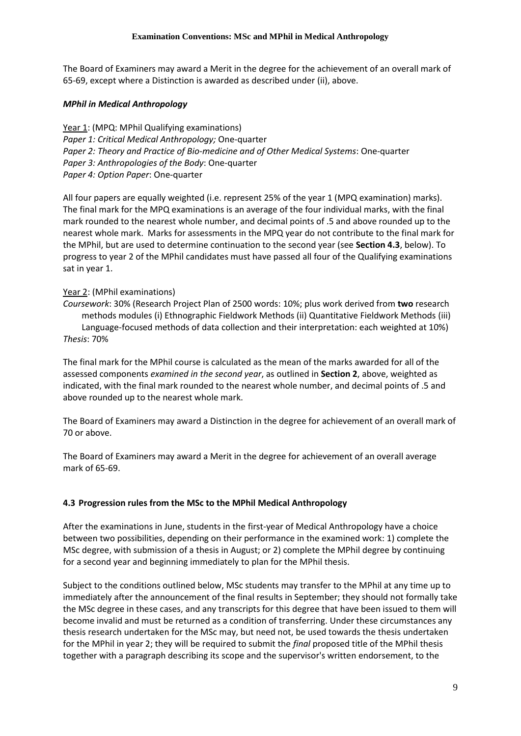The Board of Examiners may award a Merit in the degree for the achievement of an overall mark of 65-69, except where a Distinction is awarded as described under (ii), above.

### *MPhil in Medical Anthropology*

Year 1: (MPQ: MPhil Qualifying examinations) *Paper 1: Critical Medical Anthropology;* One-quarter *Paper 2: Theory and Practice of Bio-medicine and of Other Medical Systems*: One-quarter *Paper 3: Anthropologies of the Body*: One-quarter *Paper 4: Option Paper*: One-quarter

All four papers are equally weighted (i.e. represent 25% of the year 1 (MPQ examination) marks). The final mark for the MPQ examinations is an average of the four individual marks, with the final mark rounded to the nearest whole number, and decimal points of .5 and above rounded up to the nearest whole mark. Marks for assessments in the MPQ year do not contribute to the final mark for the MPhil, but are used to determine continuation to the second year (see **Section 4.3**, below). To progress to year 2 of the MPhil candidates must have passed all four of the Qualifying examinations sat in year 1.

### Year 2: (MPhil examinations)

*Coursework*: 30% (Research Project Plan of 2500 words: 10%; plus work derived from **two** research methods modules (i) Ethnographic Fieldwork Methods (ii) Quantitative Fieldwork Methods (iii) Language-focused methods of data collection and their interpretation: each weighted at 10%) *Thesis*: 70%

The final mark for the MPhil course is calculated as the mean of the marks awarded for all of the assessed components *examined in the second year*, as outlined in **Section 2**, above, weighted as indicated, with the final mark rounded to the nearest whole number, and decimal points of .5 and above rounded up to the nearest whole mark.

The Board of Examiners may award a Distinction in the degree for achievement of an overall mark of 70 or above.

The Board of Examiners may award a Merit in the degree for achievement of an overall average mark of 65-69.

## **4.3 Progression rules from the MSc to the MPhil Medical Anthropology**

After the examinations in June, students in the first-year of Medical Anthropology have a choice between two possibilities, depending on their performance in the examined work: 1) complete the MSc degree, with submission of a thesis in August; or 2) complete the MPhil degree by continuing for a second year and beginning immediately to plan for the MPhil thesis.

Subject to the conditions outlined below, MSc students may transfer to the MPhil at any time up to immediately after the announcement of the final results in September; they should not formally take the MSc degree in these cases, and any transcripts for this degree that have been issued to them will become invalid and must be returned as a condition of transferring. Under these circumstances any thesis research undertaken for the MSc may, but need not, be used towards the thesis undertaken for the MPhil in year 2; they will be required to submit the *final* proposed title of the MPhil thesis together with a paragraph describing its scope and the supervisor's written endorsement, to the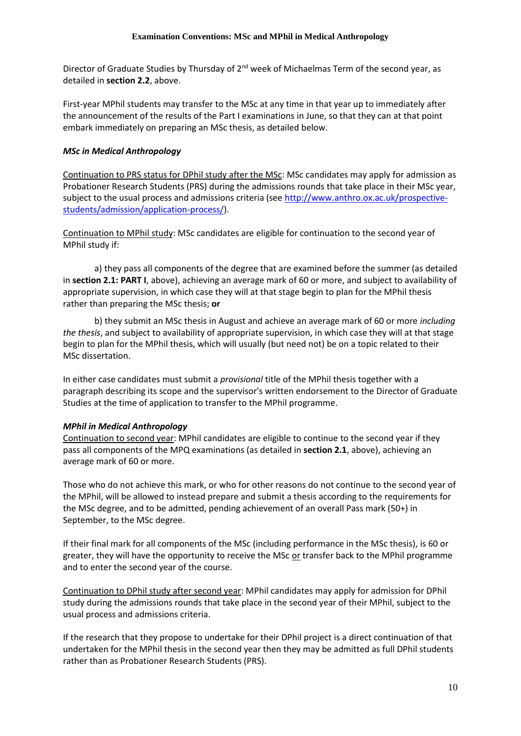Director of Graduate Studies by Thursday of 2<sup>nd</sup> week of Michaelmas Term of the second year, as detailed in **section 2.2**, above.

First-year MPhil students may transfer to the MSc at any time in that year up to immediately after the announcement of the results of the Part I examinations in June, so that they can at that point embark immediately on preparing an MSc thesis, as detailed below.

#### *MSc in Medical Anthropology*

Continuation to PRS status for DPhil study after the MSc: MSc candidates may apply for admission as Probationer Research Students (PRS) during the admissions rounds that take place in their MSc year, subject to the usual process and admissions criteria (see [http://www.anthro.ox.ac.uk/prospective](http://www.anthro.ox.ac.uk/prospective-students/admission/application-process/)[students/admission/application-process/\)](http://www.anthro.ox.ac.uk/prospective-students/admission/application-process/).

Continuation to MPhil study: MSc candidates are eligible for continuation to the second year of MPhil study if:

a) they pass all components of the degree that are examined before the summer (as detailed in **section 2.1: PART I**, above), achieving an average mark of 60 or more, and subject to availability of appropriate supervision, in which case they will at that stage begin to plan for the MPhil thesis rather than preparing the MSc thesis; **or**

b) they submit an MSc thesis in August and achieve an average mark of 60 or more *including the thesis*, and subject to availability of appropriate supervision, in which case they will at that stage begin to plan for the MPhil thesis, which will usually (but need not) be on a topic related to their MSc dissertation.

In either case candidates must submit a *provisional* title of the MPhil thesis together with a paragraph describing its scope and the supervisor's written endorsement to the Director of Graduate Studies at the time of application to transfer to the MPhil programme.

#### *MPhil in Medical Anthropology*

Continuation to second year: MPhil candidates are eligible to continue to the second year if they pass all components of the MPQ examinations (as detailed in **section 2.1**, above), achieving an average mark of 60 or more.

Those who do not achieve this mark, or who for other reasons do not continue to the second year of the MPhil, will be allowed to instead prepare and submit a thesis according to the requirements for the MSc degree, and to be admitted, pending achievement of an overall Pass mark (50+) in September, to the MSc degree.

If their final mark for all components of the MSc (including performance in the MSc thesis), is 60 or greater, they will have the opportunity to receive the MSc or transfer back to the MPhil programme and to enter the second year of the course.

Continuation to DPhil study after second year: MPhil candidates may apply for admission for DPhil study during the admissions rounds that take place in the second year of their MPhil, subject to the usual process and admissions criteria.

If the research that they propose to undertake for their DPhil project is a direct continuation of that undertaken for the MPhil thesis in the second year then they may be admitted as full DPhil students rather than as Probationer Research Students (PRS).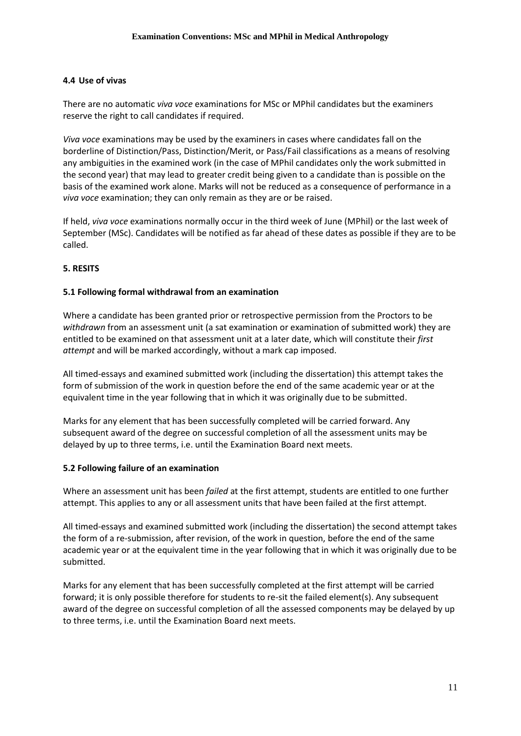#### **4.4 Use of vivas**

There are no automatic *viva voce* examinations for MSc or MPhil candidates but the examiners reserve the right to call candidates if required.

*Viva voce* examinations may be used by the examiners in cases where candidates fall on the borderline of Distinction/Pass, Distinction/Merit, or Pass/Fail classifications as a means of resolving any ambiguities in the examined work (in the case of MPhil candidates only the work submitted in the second year) that may lead to greater credit being given to a candidate than is possible on the basis of the examined work alone. Marks will not be reduced as a consequence of performance in a *viva voce* examination; they can only remain as they are or be raised.

If held, *viva voce* examinations normally occur in the third week of June (MPhil) or the last week of September (MSc). Candidates will be notified as far ahead of these dates as possible if they are to be called.

#### **5. RESITS**

#### **5.1 Following formal withdrawal from an examination**

Where a candidate has been granted prior or retrospective permission from the Proctors to be *withdrawn* from an assessment unit (a sat examination or examination of submitted work) they are entitled to be examined on that assessment unit at a later date, which will constitute their *first attempt* and will be marked accordingly, without a mark cap imposed.

All timed-essays and examined submitted work (including the dissertation) this attempt takes the form of submission of the work in question before the end of the same academic year or at the equivalent time in the year following that in which it was originally due to be submitted.

Marks for any element that has been successfully completed will be carried forward. Any subsequent award of the degree on successful completion of all the assessment units may be delayed by up to three terms, i.e. until the Examination Board next meets.

#### **5.2 Following failure of an examination**

Where an assessment unit has been *failed* at the first attempt, students are entitled to one further attempt. This applies to any or all assessment units that have been failed at the first attempt.

All timed-essays and examined submitted work (including the dissertation) the second attempt takes the form of a re-submission, after revision, of the work in question, before the end of the same academic year or at the equivalent time in the year following that in which it was originally due to be submitted.

Marks for any element that has been successfully completed at the first attempt will be carried forward; it is only possible therefore for students to re-sit the failed element(s). Any subsequent award of the degree on successful completion of all the assessed components may be delayed by up to three terms, i.e. until the Examination Board next meets.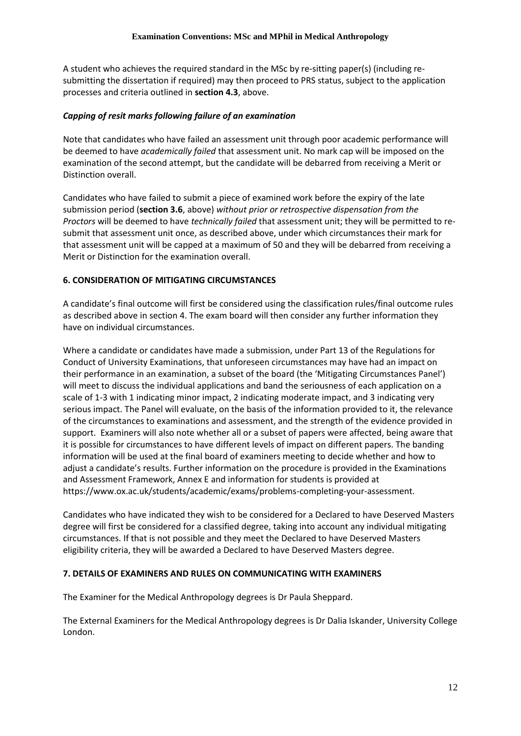A student who achieves the required standard in the MSc by re-sitting paper(s) (including resubmitting the dissertation if required) may then proceed to PRS status, subject to the application processes and criteria outlined in **section 4.3**, above.

### *Capping of resit marks following failure of an examination*

Note that candidates who have failed an assessment unit through poor academic performance will be deemed to have *academically failed* that assessment unit. No mark cap will be imposed on the examination of the second attempt, but the candidate will be debarred from receiving a Merit or Distinction overall.

Candidates who have failed to submit a piece of examined work before the expiry of the late submission period (**section 3.6**, above) *without prior or retrospective dispensation from the Proctors* will be deemed to have *technically failed* that assessment unit; they will be permitted to resubmit that assessment unit once, as described above, under which circumstances their mark for that assessment unit will be capped at a maximum of 50 and they will be debarred from receiving a Merit or Distinction for the examination overall.

### **6. CONSIDERATION OF MITIGATING CIRCUMSTANCES**

A candidate's final outcome will first be considered using the classification rules/final outcome rules as described above in section 4. The exam board will then consider any further information they have on individual circumstances.

Where a candidate or candidates have made a submission, under Part 13 of the Regulations for Conduct of University Examinations, that unforeseen circumstances may have had an impact on their performance in an examination, a subset of the board (the 'Mitigating Circumstances Panel') will meet to discuss the individual applications and band the seriousness of each application on a scale of 1-3 with 1 indicating minor impact, 2 indicating moderate impact, and 3 indicating very serious impact. The Panel will evaluate, on the basis of the information provided to it, the relevance of the circumstances to examinations and assessment, and the strength of the evidence provided in support. Examiners will also note whether all or a subset of papers were affected, being aware that it is possible for circumstances to have different levels of impact on different papers. The banding information will be used at the final board of examiners meeting to decide whether and how to adjust a candidate's results. Further information on the procedure is provided in the Examinations and Assessment Framework, Annex E and information for students is provided at https://www.ox.ac.uk/students/academic/exams/problems-completing-your-assessment.

Candidates who have indicated they wish to be considered for a Declared to have Deserved Masters degree will first be considered for a classified degree, taking into account any individual mitigating circumstances. If that is not possible and they meet the Declared to have Deserved Masters eligibility criteria, they will be awarded a Declared to have Deserved Masters degree.

### **7. DETAILS OF EXAMINERS AND RULES ON COMMUNICATING WITH EXAMINERS**

The Examiner for the Medical Anthropology degrees is Dr Paula Sheppard.

The External Examiners for the Medical Anthropology degrees is Dr Dalia Iskander, University College London.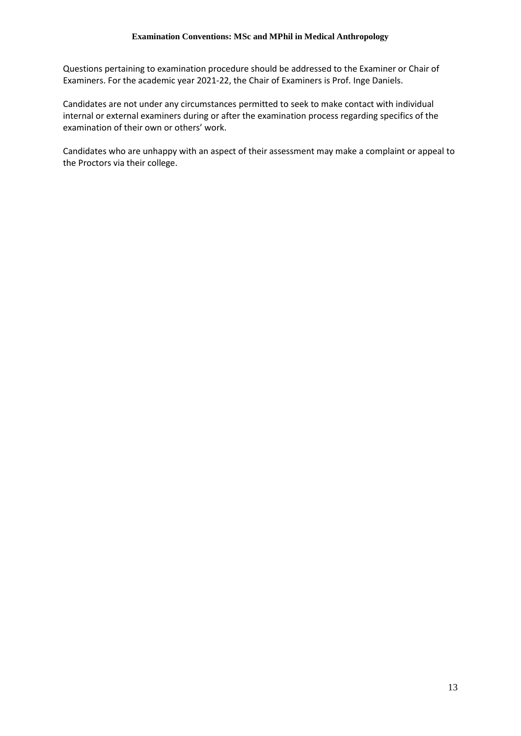Questions pertaining to examination procedure should be addressed to the Examiner or Chair of Examiners. For the academic year 2021-22, the Chair of Examiners is Prof. Inge Daniels.

Candidates are not under any circumstances permitted to seek to make contact with individual internal or external examiners during or after the examination process regarding specifics of the examination of their own or others' work.

Candidates who are unhappy with an aspect of their assessment may make a complaint or appeal to the Proctors via their college.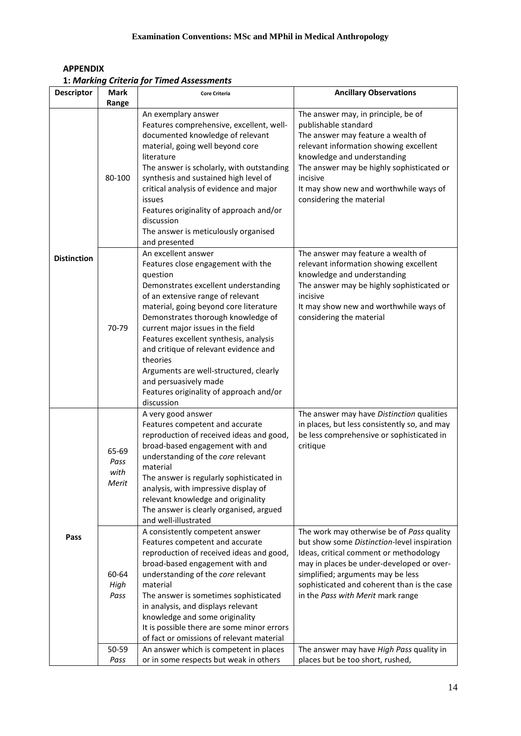| <b>APPENDIX</b>                           |
|-------------------------------------------|
| 1: Marking Criteria for Timed Assessments |

| The answer may, in principle, be of                                                                                                                                                                                            |
|--------------------------------------------------------------------------------------------------------------------------------------------------------------------------------------------------------------------------------|
|                                                                                                                                                                                                                                |
|                                                                                                                                                                                                                                |
| The answer may feature a wealth of<br>relevant information showing excellent<br>The answer may be highly sophisticated or<br>It may show new and worthwhile ways of                                                            |
| The answer may feature a wealth of<br>relevant information showing excellent<br>The answer may be highly sophisticated or<br>It may show new and worthwhile ways of                                                            |
| The answer may have Distinction qualities<br>in places, but less consistently so, and may<br>be less comprehensive or sophisticated in                                                                                         |
| The work may otherwise be of Pass quality<br>but show some Distinction-level inspiration<br>Ideas, critical comment or methodology<br>may in places be under-developed or over-<br>sophisticated and coherent than is the case |
| The answer may have High Pass quality in                                                                                                                                                                                       |
|                                                                                                                                                                                                                                |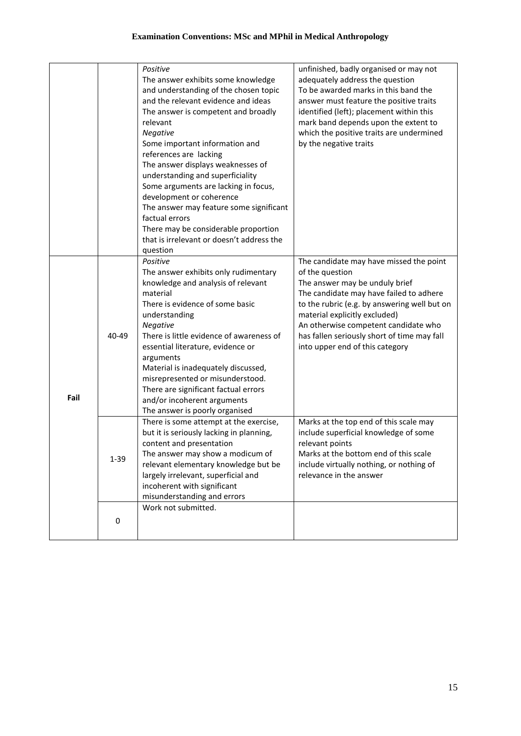|      |          | Positive                                  | unfinished, badly organised or may not       |
|------|----------|-------------------------------------------|----------------------------------------------|
|      |          | The answer exhibits some knowledge        | adequately address the question              |
|      |          | and understanding of the chosen topic     | To be awarded marks in this band the         |
|      |          | and the relevant evidence and ideas       | answer must feature the positive traits      |
|      |          | The answer is competent and broadly       | identified (left); placement within this     |
|      |          | relevant                                  | mark band depends upon the extent to         |
|      |          | Negative                                  | which the positive traits are undermined     |
|      |          | Some important information and            | by the negative traits                       |
|      |          | references are lacking                    |                                              |
|      |          |                                           |                                              |
|      |          | The answer displays weaknesses of         |                                              |
|      |          | understanding and superficiality          |                                              |
|      |          | Some arguments are lacking in focus,      |                                              |
|      |          | development or coherence                  |                                              |
|      |          | The answer may feature some significant   |                                              |
|      |          | factual errors                            |                                              |
|      |          | There may be considerable proportion      |                                              |
|      |          | that is irrelevant or doesn't address the |                                              |
|      |          | question                                  |                                              |
|      |          | Positive                                  | The candidate may have missed the point      |
|      |          | The answer exhibits only rudimentary      | of the question                              |
|      |          | knowledge and analysis of relevant        | The answer may be unduly brief               |
|      |          | material                                  | The candidate may have failed to adhere      |
|      | 40-49    | There is evidence of some basic           | to the rubric (e.g. by answering well but on |
|      |          | understanding                             | material explicitly excluded)                |
|      |          | Negative                                  | An otherwise competent candidate who         |
|      |          | There is little evidence of awareness of  | has fallen seriously short of time may fall  |
|      |          | essential literature, evidence or         | into upper end of this category              |
|      |          | arguments                                 |                                              |
|      |          | Material is inadequately discussed,       |                                              |
|      |          | misrepresented or misunderstood.          |                                              |
|      |          |                                           |                                              |
| Fail |          | There are significant factual errors      |                                              |
|      |          | and/or incoherent arguments               |                                              |
|      |          | The answer is poorly organised            |                                              |
|      |          | There is some attempt at the exercise,    | Marks at the top end of this scale may       |
|      |          | but it is seriously lacking in planning,  | include superficial knowledge of some        |
|      |          | content and presentation                  | relevant points                              |
|      | $1 - 39$ | The answer may show a modicum of          | Marks at the bottom end of this scale        |
|      |          | relevant elementary knowledge but be      | include virtually nothing, or nothing of     |
|      |          | largely irrelevant, superficial and       | relevance in the answer                      |
|      |          | incoherent with significant               |                                              |
|      |          | misunderstanding and errors               |                                              |
|      |          | Work not submitted.                       |                                              |
|      | 0        |                                           |                                              |
|      |          |                                           |                                              |
|      |          |                                           |                                              |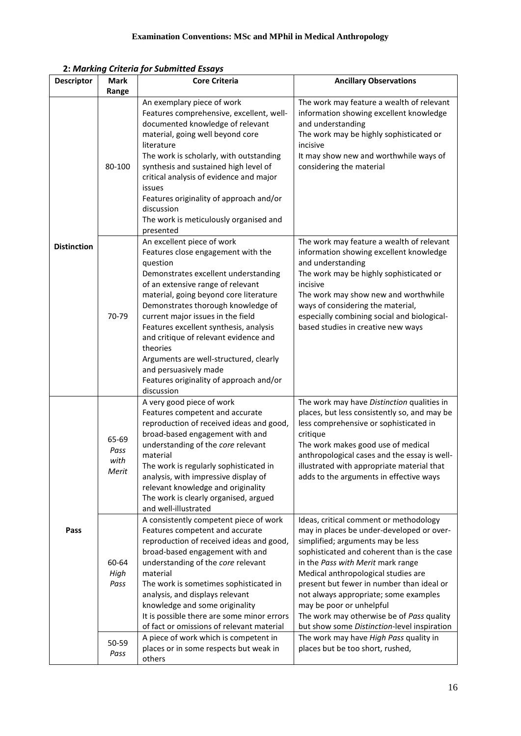|  |  |  | 2: Marking Criteria for Submitted Essays |  |
|--|--|--|------------------------------------------|--|
|--|--|--|------------------------------------------|--|

| <b>Descriptor</b>  | <b>Mark</b><br>Range           | <b>Core Criteria</b>                                                                                                                                                                                                                                                                                                                                                                                                                                                                                      | <b>Ancillary Observations</b>                                                                                                                                                                                                                                                                                                                                                                                                                                     |
|--------------------|--------------------------------|-----------------------------------------------------------------------------------------------------------------------------------------------------------------------------------------------------------------------------------------------------------------------------------------------------------------------------------------------------------------------------------------------------------------------------------------------------------------------------------------------------------|-------------------------------------------------------------------------------------------------------------------------------------------------------------------------------------------------------------------------------------------------------------------------------------------------------------------------------------------------------------------------------------------------------------------------------------------------------------------|
|                    | 80-100                         | An exemplary piece of work<br>Features comprehensive, excellent, well-<br>documented knowledge of relevant<br>material, going well beyond core<br>literature<br>The work is scholarly, with outstanding<br>synthesis and sustained high level of<br>critical analysis of evidence and major<br>issues<br>Features originality of approach and/or<br>discussion<br>The work is meticulously organised and<br>presented                                                                                     | The work may feature a wealth of relevant<br>information showing excellent knowledge<br>and understanding<br>The work may be highly sophisticated or<br>incisive<br>It may show new and worthwhile ways of<br>considering the material                                                                                                                                                                                                                            |
| <b>Distinction</b> | 70-79                          | An excellent piece of work<br>Features close engagement with the<br>question<br>Demonstrates excellent understanding<br>of an extensive range of relevant<br>material, going beyond core literature<br>Demonstrates thorough knowledge of<br>current major issues in the field<br>Features excellent synthesis, analysis<br>and critique of relevant evidence and<br>theories<br>Arguments are well-structured, clearly<br>and persuasively made<br>Features originality of approach and/or<br>discussion | The work may feature a wealth of relevant<br>information showing excellent knowledge<br>and understanding<br>The work may be highly sophisticated or<br>incisive<br>The work may show new and worthwhile<br>ways of considering the material,<br>especially combining social and biological-<br>based studies in creative new ways                                                                                                                                |
| Pass               | 65-69<br>Pass<br>with<br>Merit | A very good piece of work<br>Features competent and accurate<br>reproduction of received ideas and good,<br>broad-based engagement with and<br>understanding of the core relevant<br>material<br>The work is regularly sophisticated in<br>analysis, with impressive display of<br>relevant knowledge and originality<br>The work is clearly organised, argued<br>and well-illustrated                                                                                                                    | The work may have Distinction qualities in<br>places, but less consistently so, and may be<br>less comprehensive or sophisticated in<br>critique<br>The work makes good use of medical<br>anthropological cases and the essay is well-<br>illustrated with appropriate material that<br>adds to the arguments in effective ways                                                                                                                                   |
|                    | 60-64<br>High<br>Pass          | A consistently competent piece of work<br>Features competent and accurate<br>reproduction of received ideas and good,<br>broad-based engagement with and<br>understanding of the core relevant<br>material<br>The work is sometimes sophisticated in<br>analysis, and displays relevant<br>knowledge and some originality<br>It is possible there are some minor errors<br>of fact or omissions of relevant material                                                                                      | Ideas, critical comment or methodology<br>may in places be under-developed or over-<br>simplified; arguments may be less<br>sophisticated and coherent than is the case<br>in the Pass with Merit mark range<br>Medical anthropological studies are<br>present but fewer in number than ideal or<br>not always appropriate; some examples<br>may be poor or unhelpful<br>The work may otherwise be of Pass quality<br>but show some Distinction-level inspiration |
|                    | 50-59<br>Pass                  | A piece of work which is competent in<br>places or in some respects but weak in<br>others                                                                                                                                                                                                                                                                                                                                                                                                                 | The work may have High Pass quality in<br>places but be too short, rushed,                                                                                                                                                                                                                                                                                                                                                                                        |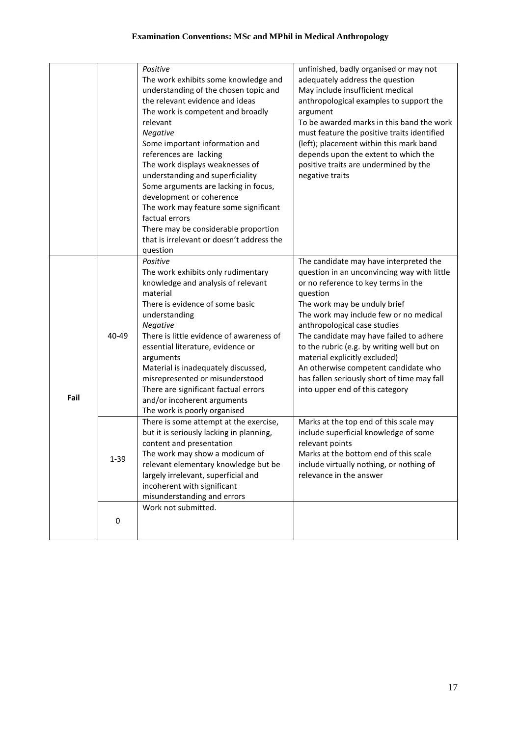|      |          | Positive                                                               |                                                                             |
|------|----------|------------------------------------------------------------------------|-----------------------------------------------------------------------------|
|      |          |                                                                        | unfinished, badly organised or may not                                      |
|      |          | The work exhibits some knowledge and                                   | adequately address the question                                             |
|      |          | understanding of the chosen topic and                                  | May include insufficient medical                                            |
|      |          | the relevant evidence and ideas                                        | anthropological examples to support the                                     |
|      |          | The work is competent and broadly                                      | argument                                                                    |
|      |          | relevant                                                               | To be awarded marks in this band the work                                   |
|      |          | Negative                                                               | must feature the positive traits identified                                 |
|      |          | Some important information and                                         | (left); placement within this mark band                                     |
|      |          | references are lacking                                                 | depends upon the extent to which the                                        |
|      |          | The work displays weaknesses of                                        | positive traits are undermined by the                                       |
|      |          | understanding and superficiality                                       | negative traits                                                             |
|      |          | Some arguments are lacking in focus,                                   |                                                                             |
|      |          | development or coherence                                               |                                                                             |
|      |          | The work may feature some significant                                  |                                                                             |
|      |          | factual errors                                                         |                                                                             |
|      |          | There may be considerable proportion                                   |                                                                             |
|      |          | that is irrelevant or doesn't address the                              |                                                                             |
|      |          | question                                                               |                                                                             |
|      |          | Positive                                                               | The candidate may have interpreted the                                      |
|      |          | The work exhibits only rudimentary                                     | question in an unconvincing way with little                                 |
|      |          | knowledge and analysis of relevant                                     | or no reference to key terms in the                                         |
|      |          | material                                                               | question                                                                    |
|      |          | There is evidence of some basic                                        | The work may be unduly brief                                                |
|      |          | understanding                                                          | The work may include few or no medical                                      |
|      |          | Negative                                                               | anthropological case studies                                                |
|      | 40-49    | There is little evidence of awareness of                               | The candidate may have failed to adhere                                     |
|      |          |                                                                        |                                                                             |
|      |          | essential literature, evidence or                                      | to the rubric (e.g. by writing well but on<br>material explicitly excluded) |
|      |          | arguments<br>Material is inadequately discussed,                       | An otherwise competent candidate who                                        |
|      |          | misrepresented or misunderstood                                        | has fallen seriously short of time may fall                                 |
|      |          | There are significant factual errors                                   | into upper end of this category                                             |
| Fail |          |                                                                        |                                                                             |
|      |          | and/or incoherent arguments                                            |                                                                             |
|      |          | The work is poorly organised<br>There is some attempt at the exercise, | Marks at the top end of this scale may                                      |
|      |          | but it is seriously lacking in planning,                               | include superficial knowledge of some                                       |
|      |          | content and presentation                                               | relevant points                                                             |
|      |          | The work may show a modicum of                                         | Marks at the bottom end of this scale                                       |
|      | $1 - 39$ | relevant elementary knowledge but be                                   | include virtually nothing, or nothing of                                    |
|      |          | largely irrelevant, superficial and                                    | relevance in the answer                                                     |
|      |          | incoherent with significant                                            |                                                                             |
|      |          | misunderstanding and errors                                            |                                                                             |
|      |          | Work not submitted.                                                    |                                                                             |
|      |          |                                                                        |                                                                             |
|      | 0        |                                                                        |                                                                             |
|      |          |                                                                        |                                                                             |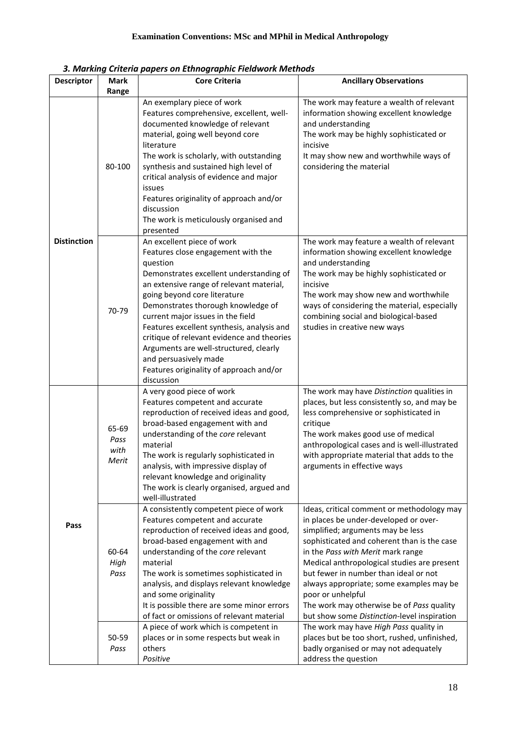|                    | з. wiarking Criteria papers on Ethnographic Fielawork wiethoas |                                                                                                                                                                                                                                                                                                                                                                                                                                                                                                        |                                                                                                                                                                                                                                                                                                                                                                                                                                                                   |
|--------------------|----------------------------------------------------------------|--------------------------------------------------------------------------------------------------------------------------------------------------------------------------------------------------------------------------------------------------------------------------------------------------------------------------------------------------------------------------------------------------------------------------------------------------------------------------------------------------------|-------------------------------------------------------------------------------------------------------------------------------------------------------------------------------------------------------------------------------------------------------------------------------------------------------------------------------------------------------------------------------------------------------------------------------------------------------------------|
| <b>Descriptor</b>  | Mark                                                           | <b>Core Criteria</b>                                                                                                                                                                                                                                                                                                                                                                                                                                                                                   | <b>Ancillary Observations</b>                                                                                                                                                                                                                                                                                                                                                                                                                                     |
|                    | Range                                                          | An exemplary piece of work<br>Features comprehensive, excellent, well-                                                                                                                                                                                                                                                                                                                                                                                                                                 | The work may feature a wealth of relevant<br>information showing excellent knowledge                                                                                                                                                                                                                                                                                                                                                                              |
|                    | 80-100                                                         | documented knowledge of relevant<br>material, going well beyond core<br>literature<br>The work is scholarly, with outstanding<br>synthesis and sustained high level of<br>critical analysis of evidence and major<br>issues<br>Features originality of approach and/or<br>discussion<br>The work is meticulously organised and<br>presented                                                                                                                                                            | and understanding<br>The work may be highly sophisticated or<br>incisive<br>It may show new and worthwhile ways of<br>considering the material                                                                                                                                                                                                                                                                                                                    |
| <b>Distinction</b> | 70-79                                                          | An excellent piece of work<br>Features close engagement with the<br>question<br>Demonstrates excellent understanding of<br>an extensive range of relevant material,<br>going beyond core literature<br>Demonstrates thorough knowledge of<br>current major issues in the field<br>Features excellent synthesis, analysis and<br>critique of relevant evidence and theories<br>Arguments are well-structured, clearly<br>and persuasively made<br>Features originality of approach and/or<br>discussion | The work may feature a wealth of relevant<br>information showing excellent knowledge<br>and understanding<br>The work may be highly sophisticated or<br>incisive<br>The work may show new and worthwhile<br>ways of considering the material, especially<br>combining social and biological-based<br>studies in creative new ways                                                                                                                                 |
|                    | 65-69<br>Pass<br>with<br>Merit                                 | A very good piece of work<br>Features competent and accurate<br>reproduction of received ideas and good,<br>broad-based engagement with and<br>understanding of the core relevant<br>material<br>The work is regularly sophisticated in<br>analysis, with impressive display of<br>relevant knowledge and originality<br>The work is clearly organised, argued and<br>well-illustrated                                                                                                                 | The work may have Distinction qualities in<br>places, but less consistently so, and may be<br>less comprehensive or sophisticated in<br>critique<br>The work makes good use of medical<br>anthropological cases and is well-illustrated<br>with appropriate material that adds to the<br>arguments in effective ways                                                                                                                                              |
| Pass               | 60-64<br>High<br>Pass                                          | A consistently competent piece of work<br>Features competent and accurate<br>reproduction of received ideas and good,<br>broad-based engagement with and<br>understanding of the core relevant<br>material<br>The work is sometimes sophisticated in<br>analysis, and displays relevant knowledge<br>and some originality<br>It is possible there are some minor errors<br>of fact or omissions of relevant material                                                                                   | Ideas, critical comment or methodology may<br>in places be under-developed or over-<br>simplified; arguments may be less<br>sophisticated and coherent than is the case<br>in the Pass with Merit mark range<br>Medical anthropological studies are present<br>but fewer in number than ideal or not<br>always appropriate; some examples may be<br>poor or unhelpful<br>The work may otherwise be of Pass quality<br>but show some Distinction-level inspiration |
|                    | 50-59<br>Pass                                                  | A piece of work which is competent in<br>places or in some respects but weak in<br>others<br>Positive                                                                                                                                                                                                                                                                                                                                                                                                  | The work may have High Pass quality in<br>places but be too short, rushed, unfinished,<br>badly organised or may not adequately<br>address the question                                                                                                                                                                                                                                                                                                           |

| 3. Marking Criteria papers on Ethnographic Fieldwork Methods |  |
|--------------------------------------------------------------|--|
|--------------------------------------------------------------|--|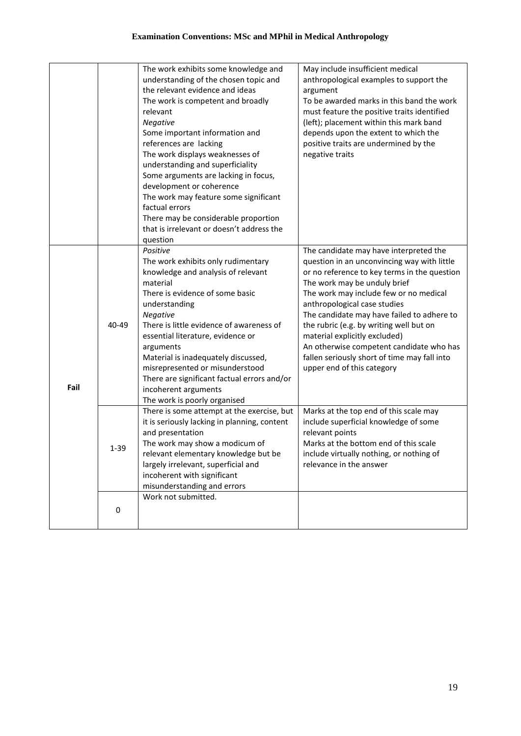|      |          | The work exhibits some knowledge and<br>understanding of the chosen topic and<br>the relevant evidence and ideas<br>The work is competent and broadly<br>relevant<br>Negative<br>Some important information and<br>references are lacking<br>The work displays weaknesses of<br>understanding and superficiality<br>Some arguments are lacking in focus,<br>development or coherence<br>The work may feature some significant                   | May include insufficient medical<br>anthropological examples to support the<br>argument<br>To be awarded marks in this band the work<br>must feature the positive traits identified<br>(left); placement within this mark band<br>depends upon the extent to which the<br>positive traits are undermined by the<br>negative traits                                                                                                                                                                  |
|------|----------|-------------------------------------------------------------------------------------------------------------------------------------------------------------------------------------------------------------------------------------------------------------------------------------------------------------------------------------------------------------------------------------------------------------------------------------------------|-----------------------------------------------------------------------------------------------------------------------------------------------------------------------------------------------------------------------------------------------------------------------------------------------------------------------------------------------------------------------------------------------------------------------------------------------------------------------------------------------------|
|      |          | factual errors<br>There may be considerable proportion<br>that is irrelevant or doesn't address the<br>question                                                                                                                                                                                                                                                                                                                                 |                                                                                                                                                                                                                                                                                                                                                                                                                                                                                                     |
| Fail | 40-49    | Positive<br>The work exhibits only rudimentary<br>knowledge and analysis of relevant<br>material<br>There is evidence of some basic<br>understanding<br>Negative<br>There is little evidence of awareness of<br>essential literature, evidence or<br>arguments<br>Material is inadequately discussed,<br>misrepresented or misunderstood<br>There are significant factual errors and/or<br>incoherent arguments<br>The work is poorly organised | The candidate may have interpreted the<br>question in an unconvincing way with little<br>or no reference to key terms in the question<br>The work may be unduly brief<br>The work may include few or no medical<br>anthropological case studies<br>The candidate may have failed to adhere to<br>the rubric (e.g. by writing well but on<br>material explicitly excluded)<br>An otherwise competent candidate who has<br>fallen seriously short of time may fall into<br>upper end of this category |
|      | $1 - 39$ | There is some attempt at the exercise, but<br>it is seriously lacking in planning, content<br>and presentation<br>The work may show a modicum of<br>relevant elementary knowledge but be<br>largely irrelevant, superficial and<br>incoherent with significant<br>misunderstanding and errors                                                                                                                                                   | Marks at the top end of this scale may<br>include superficial knowledge of some<br>relevant points<br>Marks at the bottom end of this scale<br>include virtually nothing, or nothing of<br>relevance in the answer                                                                                                                                                                                                                                                                                  |
|      | 0        | Work not submitted.                                                                                                                                                                                                                                                                                                                                                                                                                             |                                                                                                                                                                                                                                                                                                                                                                                                                                                                                                     |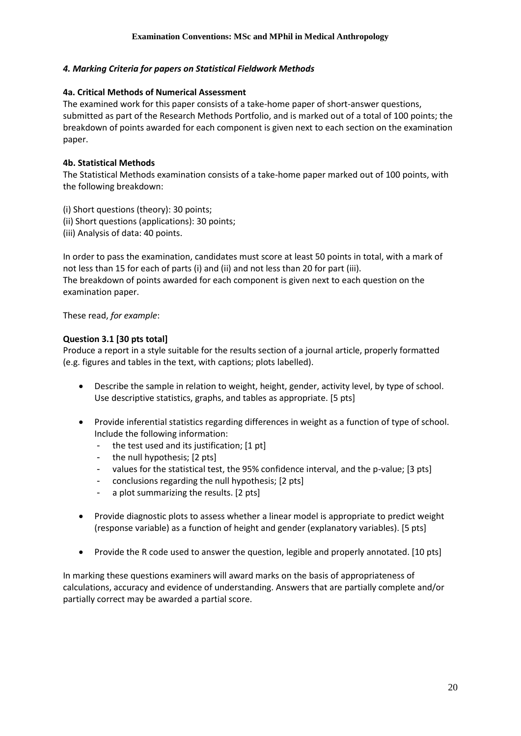### *4. Marking Criteria for papers on Statistical Fieldwork Methods*

### **4a. Critical Methods of Numerical Assessment**

The examined work for this paper consists of a take-home paper of short-answer questions, submitted as part of the Research Methods Portfolio, and is marked out of a total of 100 points; the breakdown of points awarded for each component is given next to each section on the examination paper.

### **4b. Statistical Methods**

The Statistical Methods examination consists of a take-home paper marked out of 100 points, with the following breakdown:

(i) Short questions (theory): 30 points;

- (ii) Short questions (applications): 30 points;
- (iii) Analysis of data: 40 points.

In order to pass the examination, candidates must score at least 50 points in total, with a mark of not less than 15 for each of parts (i) and (ii) and not less than 20 for part (iii). The breakdown of points awarded for each component is given next to each question on the examination paper.

These read, *for example*:

### **Question 3.1 [30 pts total]**

Produce a report in a style suitable for the results section of a journal article, properly formatted (e.g. figures and tables in the text, with captions; plots labelled).

- Describe the sample in relation to weight, height, gender, activity level, by type of school. Use descriptive statistics, graphs, and tables as appropriate. [5 pts]
- Provide inferential statistics regarding differences in weight as a function of type of school. Include the following information:
	- the test used and its justification; [1 pt]
	- the null hypothesis; [2 pts]
	- values for the statistical test, the 95% confidence interval, and the p-value; [3 pts]
	- conclusions regarding the null hypothesis; [2 pts]
	- a plot summarizing the results. [2 pts]
- Provide diagnostic plots to assess whether a linear model is appropriate to predict weight (response variable) as a function of height and gender (explanatory variables). [5 pts]
- Provide the R code used to answer the question, legible and properly annotated. [10 pts]

In marking these questions examiners will award marks on the basis of appropriateness of calculations, accuracy and evidence of understanding. Answers that are partially complete and/or partially correct may be awarded a partial score.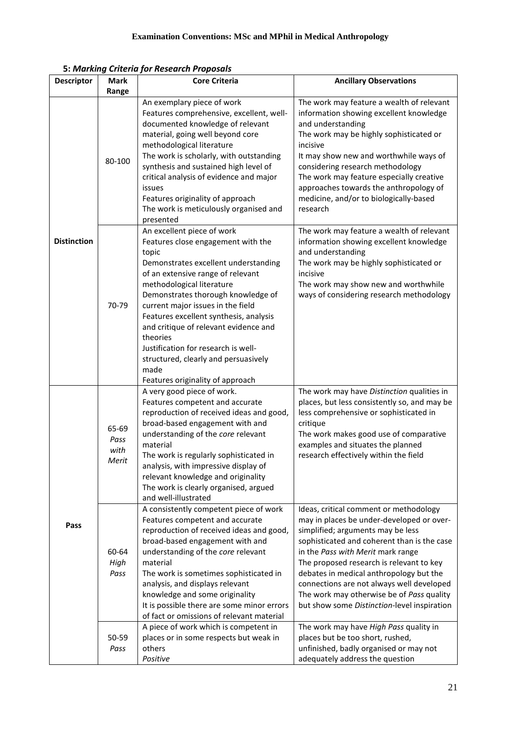|                    |                                | 3. Indianiy Chiend jor Kesedreh Froposais                                                                                                                                                                                                                                                                                                                                                                                                                                                |                                                                                                                                                                                                                                                                                                                                                                                                                                              |
|--------------------|--------------------------------|------------------------------------------------------------------------------------------------------------------------------------------------------------------------------------------------------------------------------------------------------------------------------------------------------------------------------------------------------------------------------------------------------------------------------------------------------------------------------------------|----------------------------------------------------------------------------------------------------------------------------------------------------------------------------------------------------------------------------------------------------------------------------------------------------------------------------------------------------------------------------------------------------------------------------------------------|
| <b>Descriptor</b>  | <b>Mark</b>                    | <b>Core Criteria</b>                                                                                                                                                                                                                                                                                                                                                                                                                                                                     | <b>Ancillary Observations</b>                                                                                                                                                                                                                                                                                                                                                                                                                |
|                    | Range                          |                                                                                                                                                                                                                                                                                                                                                                                                                                                                                          |                                                                                                                                                                                                                                                                                                                                                                                                                                              |
| <b>Distinction</b> | 80-100                         | An exemplary piece of work<br>Features comprehensive, excellent, well-<br>documented knowledge of relevant<br>material, going well beyond core<br>methodological literature<br>The work is scholarly, with outstanding<br>synthesis and sustained high level of<br>critical analysis of evidence and major<br>issues<br>Features originality of approach<br>The work is meticulously organised and<br>presented                                                                          | The work may feature a wealth of relevant<br>information showing excellent knowledge<br>and understanding<br>The work may be highly sophisticated or<br>incisive<br>It may show new and worthwhile ways of<br>considering research methodology<br>The work may feature especially creative<br>approaches towards the anthropology of<br>medicine, and/or to biologically-based<br>research                                                   |
|                    | 70-79                          | An excellent piece of work<br>Features close engagement with the<br>topic<br>Demonstrates excellent understanding<br>of an extensive range of relevant<br>methodological literature<br>Demonstrates thorough knowledge of<br>current major issues in the field<br>Features excellent synthesis, analysis<br>and critique of relevant evidence and<br>theories<br>Justification for research is well-<br>structured, clearly and persuasively<br>made<br>Features originality of approach | The work may feature a wealth of relevant<br>information showing excellent knowledge<br>and understanding<br>The work may be highly sophisticated or<br>incisive<br>The work may show new and worthwhile<br>ways of considering research methodology                                                                                                                                                                                         |
| Pass               | 65-69<br>Pass<br>with<br>Merit | A very good piece of work.<br>Features competent and accurate<br>reproduction of received ideas and good,<br>broad-based engagement with and<br>understanding of the core relevant<br>material<br>The work is regularly sophisticated in<br>analysis, with impressive display of<br>relevant knowledge and originality<br>The work is clearly organised, argued<br>and well-illustrated                                                                                                  | The work may have Distinction qualities in<br>places, but less consistently so, and may be<br>less comprehensive or sophisticated in<br>critique<br>The work makes good use of comparative<br>examples and situates the planned<br>research effectively within the field                                                                                                                                                                     |
|                    | 60-64<br>High<br>Pass          | A consistently competent piece of work<br>Features competent and accurate<br>reproduction of received ideas and good,<br>broad-based engagement with and<br>understanding of the core relevant<br>material<br>The work is sometimes sophisticated in<br>analysis, and displays relevant<br>knowledge and some originality<br>It is possible there are some minor errors<br>of fact or omissions of relevant material                                                                     | Ideas, critical comment or methodology<br>may in places be under-developed or over-<br>simplified; arguments may be less<br>sophisticated and coherent than is the case<br>in the Pass with Merit mark range<br>The proposed research is relevant to key<br>debates in medical anthropology but the<br>connections are not always well developed<br>The work may otherwise be of Pass quality<br>but show some Distinction-level inspiration |
|                    | 50-59<br>Pass                  | A piece of work which is competent in<br>places or in some respects but weak in<br>others<br>Positive                                                                                                                                                                                                                                                                                                                                                                                    | The work may have High Pass quality in<br>places but be too short, rushed,<br>unfinished, badly organised or may not<br>adequately address the question                                                                                                                                                                                                                                                                                      |

**5:** *Marking Criteria for Research Proposals*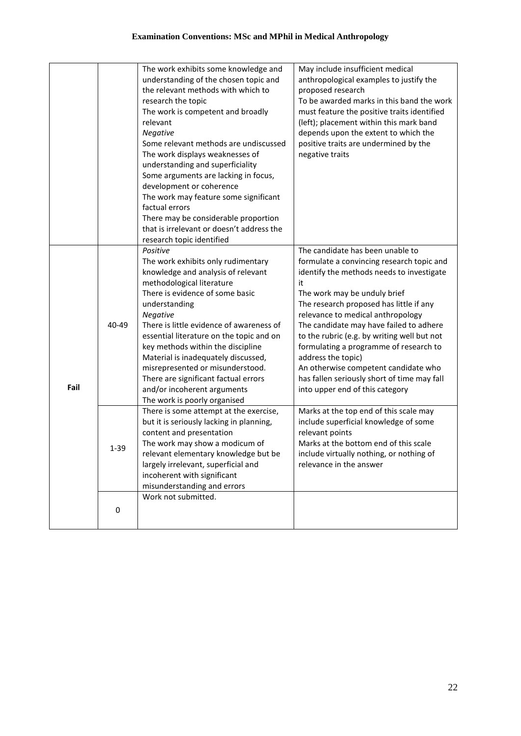|      |          | The work exhibits some knowledge and<br>understanding of the chosen topic and<br>the relevant methods with which to<br>research the topic<br>The work is competent and broadly<br>relevant<br>Negative<br>Some relevant methods are undiscussed<br>The work displays weaknesses of<br>understanding and superficiality<br>Some arguments are lacking in focus,<br>development or coherence<br>The work may feature some significant<br>factual errors<br>There may be considerable proportion<br>that is irrelevant or doesn't address the | May include insufficient medical<br>anthropological examples to justify the<br>proposed research<br>To be awarded marks in this band the work<br>must feature the positive traits identified<br>(left); placement within this mark band<br>depends upon the extent to which the<br>positive traits are undermined by the<br>negative traits                                                                |
|------|----------|--------------------------------------------------------------------------------------------------------------------------------------------------------------------------------------------------------------------------------------------------------------------------------------------------------------------------------------------------------------------------------------------------------------------------------------------------------------------------------------------------------------------------------------------|------------------------------------------------------------------------------------------------------------------------------------------------------------------------------------------------------------------------------------------------------------------------------------------------------------------------------------------------------------------------------------------------------------|
|      | 40-49    | research topic identified<br>Positive<br>The work exhibits only rudimentary<br>knowledge and analysis of relevant<br>methodological literature<br>There is evidence of some basic<br>understanding<br>Negative<br>There is little evidence of awareness of<br>essential literature on the topic and on<br>key methods within the discipline<br>Material is inadequately discussed,                                                                                                                                                         | The candidate has been unable to<br>formulate a convincing research topic and<br>identify the methods needs to investigate<br>it<br>The work may be unduly brief<br>The research proposed has little if any<br>relevance to medical anthropology<br>The candidate may have failed to adhere<br>to the rubric (e.g. by writing well but not<br>formulating a programme of research to<br>address the topic) |
| Fail |          | misrepresented or misunderstood.<br>There are significant factual errors<br>and/or incoherent arguments<br>The work is poorly organised                                                                                                                                                                                                                                                                                                                                                                                                    | An otherwise competent candidate who<br>has fallen seriously short of time may fall<br>into upper end of this category                                                                                                                                                                                                                                                                                     |
|      | $1 - 39$ | There is some attempt at the exercise,<br>but it is seriously lacking in planning,<br>content and presentation<br>The work may show a modicum of<br>relevant elementary knowledge but be<br>largely irrelevant, superficial and<br>incoherent with significant<br>misunderstanding and errors                                                                                                                                                                                                                                              | Marks at the top end of this scale may<br>include superficial knowledge of some<br>relevant points<br>Marks at the bottom end of this scale<br>include virtually nothing, or nothing of<br>relevance in the answer                                                                                                                                                                                         |
|      | 0        | Work not submitted.                                                                                                                                                                                                                                                                                                                                                                                                                                                                                                                        |                                                                                                                                                                                                                                                                                                                                                                                                            |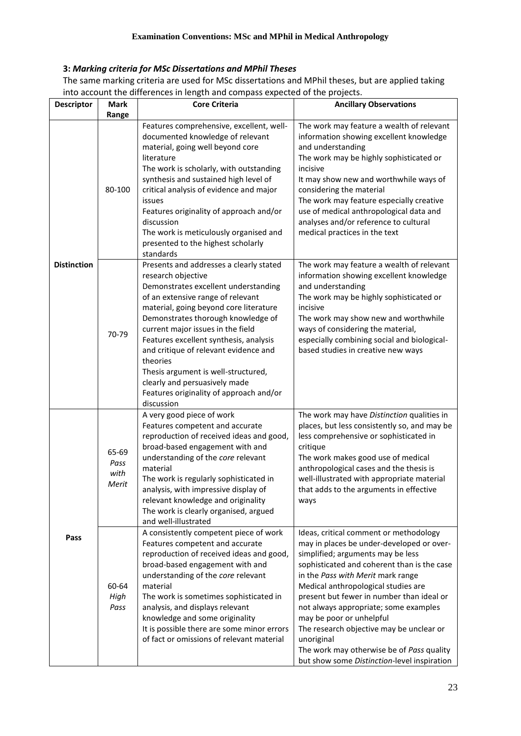# **3:** *Marking criteria for MSc Dissertations and MPhil Theses*

The same marking criteria are used for MSc dissertations and MPhil theses, but are applied taking into account the differences in length and compass expected of the projects.

|                    |                                | ence electricities engineers en ence pr                                                                                                                                                                                                                                                                                                                                                                                                                                                         |                                                                                                                                                                                                                                                                                                                                                                                                                                                                                                                             |
|--------------------|--------------------------------|-------------------------------------------------------------------------------------------------------------------------------------------------------------------------------------------------------------------------------------------------------------------------------------------------------------------------------------------------------------------------------------------------------------------------------------------------------------------------------------------------|-----------------------------------------------------------------------------------------------------------------------------------------------------------------------------------------------------------------------------------------------------------------------------------------------------------------------------------------------------------------------------------------------------------------------------------------------------------------------------------------------------------------------------|
| <b>Descriptor</b>  | Mark<br>Range                  | <b>Core Criteria</b>                                                                                                                                                                                                                                                                                                                                                                                                                                                                            | <b>Ancillary Observations</b>                                                                                                                                                                                                                                                                                                                                                                                                                                                                                               |
| <b>Distinction</b> | 80-100                         | Features comprehensive, excellent, well-<br>documented knowledge of relevant<br>material, going well beyond core<br>literature<br>The work is scholarly, with outstanding<br>synthesis and sustained high level of<br>critical analysis of evidence and major<br>issues<br>Features originality of approach and/or<br>discussion<br>The work is meticulously organised and<br>presented to the highest scholarly<br>standards                                                                   | The work may feature a wealth of relevant<br>information showing excellent knowledge<br>and understanding<br>The work may be highly sophisticated or<br>incisive<br>It may show new and worthwhile ways of<br>considering the material<br>The work may feature especially creative<br>use of medical anthropological data and<br>analyses and/or reference to cultural<br>medical practices in the text                                                                                                                     |
|                    | 70-79                          | Presents and addresses a clearly stated<br>research objective<br>Demonstrates excellent understanding<br>of an extensive range of relevant<br>material, going beyond core literature<br>Demonstrates thorough knowledge of<br>current major issues in the field<br>Features excellent synthesis, analysis<br>and critique of relevant evidence and<br>theories<br>Thesis argument is well-structured,<br>clearly and persuasively made<br>Features originality of approach and/or<br>discussion | The work may feature a wealth of relevant<br>information showing excellent knowledge<br>and understanding<br>The work may be highly sophisticated or<br>incisive<br>The work may show new and worthwhile<br>ways of considering the material,<br>especially combining social and biological-<br>based studies in creative new ways                                                                                                                                                                                          |
| Pass               | 65-69<br>Pass<br>with<br>Merit | A very good piece of work<br>Features competent and accurate<br>reproduction of received ideas and good,<br>broad-based engagement with and<br>understanding of the core relevant<br>material<br>The work is regularly sophisticated in<br>analysis, with impressive display of<br>relevant knowledge and originality<br>The work is clearly organised, argued<br>and well-illustrated                                                                                                          | The work may have Distinction qualities in<br>places, but less consistently so, and may be<br>less comprehensive or sophisticated in<br>critique<br>The work makes good use of medical<br>anthropological cases and the thesis is<br>well-illustrated with appropriate material<br>that adds to the arguments in effective<br>ways                                                                                                                                                                                          |
|                    | 60-64<br>High<br>Pass          | A consistently competent piece of work<br>Features competent and accurate<br>reproduction of received ideas and good,<br>broad-based engagement with and<br>understanding of the core relevant<br>material<br>The work is sometimes sophisticated in<br>analysis, and displays relevant<br>knowledge and some originality<br>It is possible there are some minor errors<br>of fact or omissions of relevant material                                                                            | Ideas, critical comment or methodology<br>may in places be under-developed or over-<br>simplified; arguments may be less<br>sophisticated and coherent than is the case<br>in the Pass with Merit mark range<br>Medical anthropological studies are<br>present but fewer in number than ideal or<br>not always appropriate; some examples<br>may be poor or unhelpful<br>The research objective may be unclear or<br>unoriginal<br>The work may otherwise be of Pass quality<br>but show some Distinction-level inspiration |